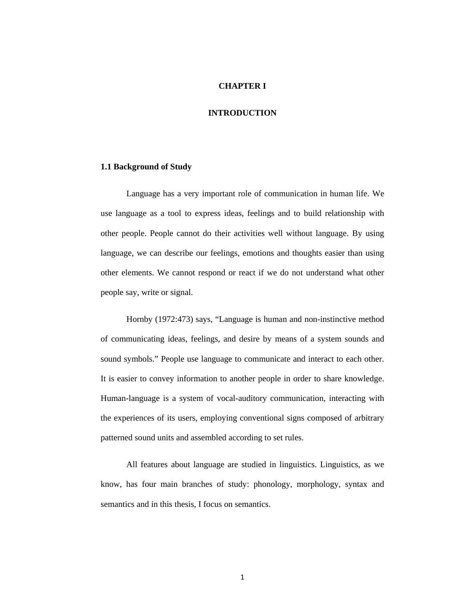### **CHAPTER I**

# **INTRODUCTION**

# **1.1 Background of Study**

Language has a very important role of communication in human life. We use language as a tool to express ideas, feelings and to build relationship with other people. People cannot do their activities well without language. By using language, we can describe our feelings, emotions and thoughts easier than using other elements. We cannot respond or react if we do not understand what other people say, write or signal.

Hornby (1972:473) says, "Language is human and non-instinctive method of communicating ideas, feelings, and desire by means of a system sounds and sound symbols." People use language to communicate and interact to each other. It is easier to convey information to another people in order to share knowledge. Human-language is a system of vocal-auditory communication, interacting with the experiences of its users, employing conventional signs composed of arbitrary patterned sound units and assembled according to set rules.

All features about language are studied in linguistics. Linguistics, as we know, has four main branches of study: phonology, morphology, syntax and semantics and in this thesis, I focus on semantics.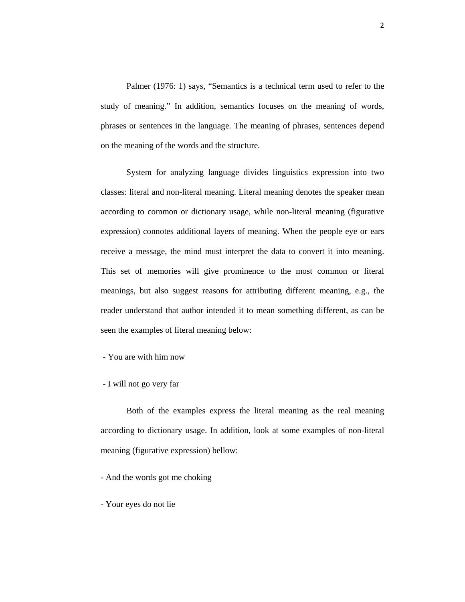Palmer (1976: 1) says, "Semantics is a technical term used to refer to the study of meaning." In addition, semantics focuses on the meaning of words, phrases or sentences in the language. The meaning of phrases, sentences depend on the meaning of the words and the structure.

System for analyzing language divides linguistics expression into two classes: literal and non-literal meaning. Literal meaning denotes the speaker mean according to common or dictionary usage, while non-literal meaning (figurative expression) connotes additional layers of meaning. When the people eye or ears receive a message, the mind must interpret the data to convert it into meaning. This set of memories will give prominence to the most common or literal meanings, but also suggest reasons for attributing different meaning, e.g., the reader understand that author intended it to mean something different, as can be seen the examples of literal meaning below:

- You are with him now

- I will not go very far

Both of the examples express the literal meaning as the real meaning according to dictionary usage. In addition, look at some examples of non-literal meaning (figurative expression) bellow:

- And the words got me choking

- Your eyes do not lie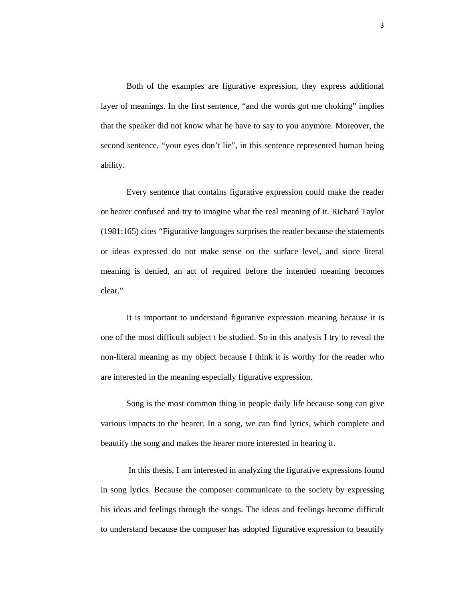Both of the examples are figurative expression, they express additional layer of meanings. In the first sentence, "and the words got me choking" implies that the speaker did not know what he have to say to you anymore. Moreover, the second sentence, "your eyes don't lie", in this sentence represented human being ability.

Every sentence that contains figurative expression could make the reader or hearer confused and try to imagine what the real meaning of it. Richard Taylor (1981:165) cites "Figurative languages surprises the reader because the statements or ideas expressed do not make sense on the surface level, and since literal meaning is denied, an act of required before the intended meaning becomes clear."

It is important to understand figurative expression meaning because it is one of the most difficult subject t be studied. So in this analysis I try to reveal the non-literal meaning as my object because I think it is worthy for the reader who are interested in the meaning especially figurative expression.

Song is the most common thing in people daily life because song can give various impacts to the hearer. In a song, we can find lyrics, which complete and beautify the song and makes the hearer more interested in hearing it.

 In this thesis, I am interested in analyzing the figurative expressions found in song lyrics. Because the composer communicate to the society by expressing his ideas and feelings through the songs. The ideas and feelings become difficult to understand because the composer has adopted figurative expression to beautify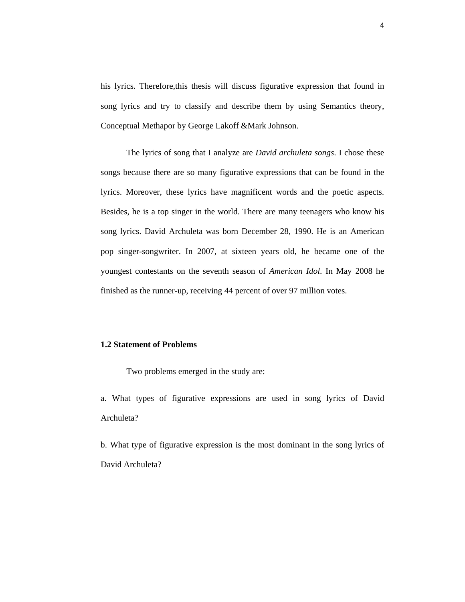his lyrics. Therefore,this thesis will discuss figurative expression that found in song lyrics and try to classify and describe them by using Semantics theory, Conceptual Methapor by George Lakoff &Mark Johnson.

The lyrics of song that I analyze are *David archuleta songs*. I chose these songs because there are so many figurative expressions that can be found in the lyrics. Moreover, these lyrics have magnificent words and the poetic aspects. Besides, he is a top singer in the world. There are many teenagers who know his song lyrics. David Archuleta was born December 28, 1990. He is an American pop singer-songwriter. In 2007, at sixteen years old, he became one of the youngest contestants on the seventh season of *American Idol*. In May 2008 he finished as the runner-up, receiving 44 percent of over 97 million votes.

### **1.2 Statement of Problems**

Two problems emerged in the study are:

a. What types of figurative expressions are used in song lyrics of David Archuleta?

b. What type of figurative expression is the most dominant in the song lyrics of David Archuleta?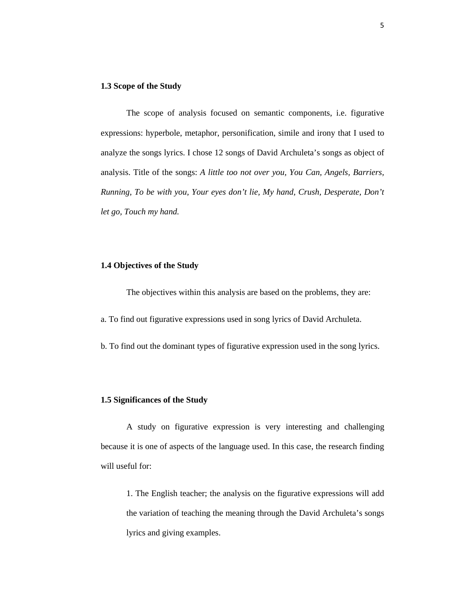### **1.3 Scope of the Study**

The scope of analysis focused on semantic components, i.e. figurative expressions: hyperbole, metaphor, personification, simile and irony that I used to analyze the songs lyrics. I chose 12 songs of David Archuleta's songs as object of analysis. Title of the songs: *A little too not over you, You Can, Angels, Barriers, Running, To be with you, Your eyes don't lie, My hand, Crush, Desperate, Don't let go, Touch my hand.* 

# **1.4 Objectives of the Study**

The objectives within this analysis are based on the problems, they are:

a. To find out figurative expressions used in song lyrics of David Archuleta.

b. To find out the dominant types of figurative expression used in the song lyrics.

#### **1.5 Significances of the Study**

A study on figurative expression is very interesting and challenging because it is one of aspects of the language used. In this case, the research finding will useful for:

1. The English teacher; the analysis on the figurative expressions will add the variation of teaching the meaning through the David Archuleta's songs lyrics and giving examples.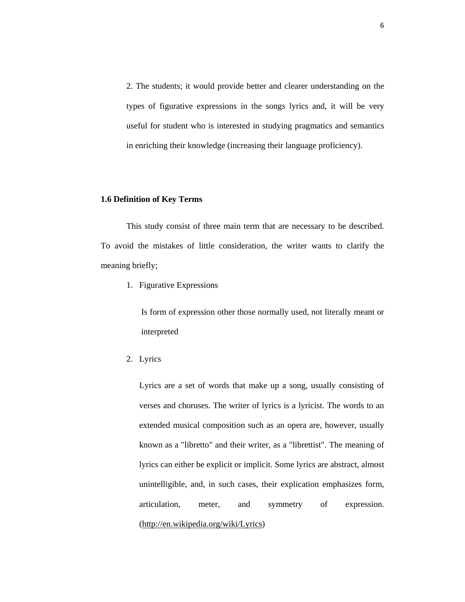2. The students; it would provide better and clearer understanding on the types of figurative expressions in the songs lyrics and, it will be very useful for student who is interested in studying pragmatics and semantics in enriching their knowledge (increasing their language proficiency).

### **1.6 Definition of Key Terms**

This study consist of three main term that are necessary to be described. To avoid the mistakes of little consideration, the writer wants to clarify the meaning briefly;

1. Figurative Expressions

Is form of expression other those normally used, not literally meant or interpreted

2. Lyrics

Lyrics are a set of words that make up a song, usually consisting of verses and choruses. The writer of lyrics is a lyricist. The words to an extended musical composition such as an opera are, however, usually known as a "libretto" and their writer, as a "librettist". The meaning of lyrics can either be explicit or implicit. Some lyrics are abstract, almost unintelligible, and, in such cases, their explication emphasizes form, articulation, meter, and symmetry of expression. (http://en.wikipedia.org/wiki/Lyrics)